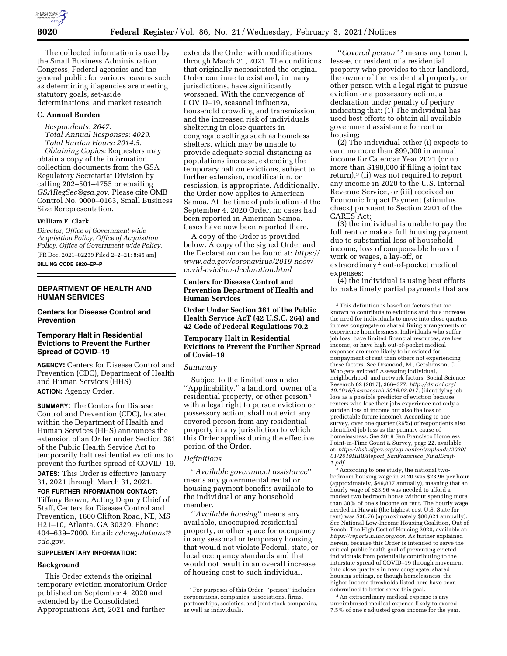

The collected information is used by the Small Business Administration, Congress, Federal agencies and the general public for various reasons such as determining if agencies are meeting statutory goals, set-aside determinations, and market research.

# **C. Annual Burden**

*Respondents: 2647. Total Annual Responses: 4029. Total Burden Hours: 2014.5. Obtaining Copies:* Requesters may obtain a copy of the information collection documents from the GSA Regulatory Secretariat Division by calling 202–501–4755 or emailing *[GSARegSec@gsa.gov.](mailto:GSARegSec@gsa.gov)* Please cite OMB Control No. 9000–0163, Small Business Size Rerepresentation.

# **William F. Clark,**

*Director, Office of Government-wide Acquisition Policy, Office of Acquisition Policy, Office of Government-wide Policy.* 

[FR Doc. 2021–02239 Filed 2–2–21; 8:45 am] **BILLING CODE 6820–EP–P** 

# **DEPARTMENT OF HEALTH AND HUMAN SERVICES**

## **Centers for Disease Control and Prevention**

# **Temporary Halt in Residential Evictions to Prevent the Further Spread of COVID–19**

**AGENCY:** Centers for Disease Control and Prevention (CDC), Department of Health and Human Services (HHS). **ACTION:** Agency Order.

**SUMMARY:** The Centers for Disease Control and Prevention (CDC), located within the Department of Health and Human Services (HHS) announces the extension of an Order under Section 361 of the Public Health Service Act to temporarily halt residential evictions to prevent the further spread of COVID–19. **DATES:** This Order is effective January 31, 2021 through March 31, 2021.

**FOR FURTHER INFORMATION CONTACT:**  Tiffany Brown, Acting Deputy Chief of Staff, Centers for Disease Control and Prevention, 1600 Clifton Road, NE, MS H21–10, Atlanta, GA 30329. Phone: 404–639–7000. Email: *[cdcregulations@](mailto:cdcregulations@cdc.gov) [cdc.gov.](mailto:cdcregulations@cdc.gov)* 

## **SUPPLEMENTARY INFORMATION:**

#### **Background**

This Order extends the original temporary eviction moratorium Order published on September 4, 2020 and extended by the Consolidated Appropriations Act, 2021 and further

extends the Order with modifications through March 31, 2021. The conditions that originally necessitated the original Order continue to exist and, in many jurisdictions, have significantly worsened. With the convergence of COVID–19, seasonal influenza, household crowding and transmission, and the increased risk of individuals sheltering in close quarters in congregate settings such as homeless shelters, which may be unable to provide adequate social distancing as populations increase, extending the temporary halt on evictions, subject to further extension, modification, or rescission, is appropriate. Additionally, the Order now applies to American Samoa. At the time of publication of the September 4, 2020 Order, no cases had been reported in American Samoa. Cases have now been reported there.

A copy of the Order is provided below. A copy of the signed Order and the Declaration can be found at: *[https://](https://www.cdc.gov/coronavirus/2019-ncov/covid-eviction-declaration.html) [www.cdc.gov/coronavirus/2019-ncov/](https://www.cdc.gov/coronavirus/2019-ncov/covid-eviction-declaration.html) [covid-eviction-declaration.html](https://www.cdc.gov/coronavirus/2019-ncov/covid-eviction-declaration.html)* 

# **Centers for Disease Control and Prevention Department of Health and Human Services**

**Order Under Section 361 of the Public Health Service AcT (42 U.S.C. 264) and 42 Code of Federal Regulations 70.2** 

### **Temporary Halt in Residential Evictions to Prevent the Further Spread of Covid–19**

## *Summary*

Subject to the limitations under ''Applicability,'' a landlord, owner of a residential property, or other person 1 with a legal right to pursue eviction or possessory action, shall not evict any covered person from any residential property in any jurisdiction to which this Order applies during the effective period of the Order.

## *Definitions*

''*Available government assistance*'' means any governmental rental or housing payment benefits available to the individual or any household member.

''*Available housing*'' means any available, unoccupied residential property, or other space for occupancy in any seasonal or temporary housing, that would not violate Federal, state, or local occupancy standards and that would not result in an overall increase of housing cost to such individual.

''*Covered person*'' 2 means any tenant, lessee, or resident of a residential property who provides to their landlord, the owner of the residential property, or other person with a legal right to pursue eviction or a possessory action, a declaration under penalty of perjury indicating that: (1) The individual has used best efforts to obtain all available government assistance for rent or housing;

(2) The individual either (i) expects to earn no more than \$99,000 in annual income for Calendar Year 2021 (or no more than \$198,000 if filing a joint tax return),3 (ii) was not required to report any income in 2020 to the U.S. Internal Revenue Service, or (iii) received an Economic Impact Payment (stimulus check) pursuant to Section 2201 of the CARES Act;

(3) the individual is unable to pay the full rent or make a full housing payment due to substantial loss of household income, loss of compensable hours of work or wages, a lay-off, or extraordinary 4 out-of-pocket medical expenses;

(4) the individual is using best efforts to make timely partial payments that are

2This definition is based on factors that are known to contribute to evictions and thus increase the need for individuals to move into close quarters in new congregate or shared living arrangements or experience homelessness. Individuals who suffer job loss, have limited financial resources, are low income, or have high out-of-pocket medical expenses are more likely to be evicted for nonpayment of rent than others not experiencing these factors. See Desmond, M., Gershenson, C., Who gets evicted? Assessing individual, neighborhood, and network factors, Social Science Research 62 (2017), 366–377, *[http://dx.doi.org/](http://dx.doi.org/10.1016/j.ssresearch.2016.08.017)  [10.1016/j.ssresearch.2016.08.017,](http://dx.doi.org/10.1016/j.ssresearch.2016.08.017)* (identifying job loss as a possible predictor of eviction because renters who lose their jobs experience not only a sudden loss of income but also the loss of predictable future income). According to one survey, over one quarter (26%) of respondents also identified job loss as the primary cause of homelessness. See 2019 San Francisco Homeless Point-in-Time Count & Survey, page 22, available at: *[https://hsh.sfgov.org/wp-content/uploads/2020/](https://hsh.sfgov.org/wp-content/uploads/2020/01/2019HIRDReport_SanFrancisco_FinalDraft-1.pdf) [01/2019HIRDReport](https://hsh.sfgov.org/wp-content/uploads/2020/01/2019HIRDReport_SanFrancisco_FinalDraft-1.pdf)*\_*SanFrancisco*\_*FinalDraft-[1.pdf.](https://hsh.sfgov.org/wp-content/uploads/2020/01/2019HIRDReport_SanFrancisco_FinalDraft-1.pdf)* 

<sup>3</sup> According to one study, the national twobedroom housing wage in 2020 was \$23.96 per hour (approximately, \$49,837 annually), meaning that an hourly wage of \$23.96 was needed to afford a modest two bedroom house without spending more than 30% of one's income on rent. The hourly wage needed in Hawaii (the highest cost U.S. State for rent) was \$38.76 (approximately \$80,621 annually). See National Low-Income Housing Coalition, Out of Reach: The High Cost of Housing 2020, available at: *[https://reports.nlihc.org/oor.](https://reports.nlihc.org/oor)* As further explained herein, because this Order is intended to serve the critical public health goal of preventing evicted individuals from potentially contributing to the interstate spread of COVID–19 through movement into close quarters in new congregate, shared housing settings, or though homelessness, the higher income thresholds listed here have been determined to better serve this goal.

4An extraordinary medical expense is any unreimbursed medical expense likely to exceed 7.5% of one's adjusted gross income for the year.

<sup>1</sup>For purposes of this Order, ''person'' includes corporations, companies, associations, firms, partnerships, societies, and joint stock companies, as well as individuals.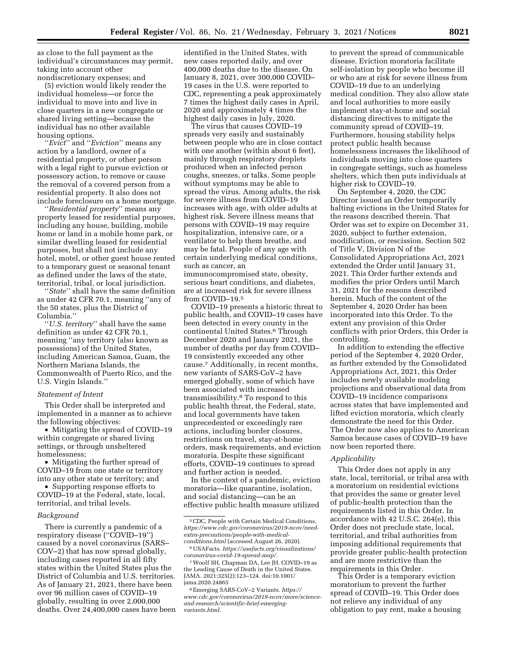as close to the full payment as the individual's circumstances may permit, taking into account other nondiscretionary expenses; and

(5) eviction would likely render the individual homeless—or force the individual to move into and live in close quarters in a new congregate or shared living setting—because the individual has no other available housing options.

''*Evict*'' and ''*Eviction*'' means any action by a landlord, owner of a residential property, or other person with a legal right to pursue eviction or possessory action, to remove or cause the removal of a covered person from a residential property. It also does not include foreclosure on a home mortgage.

''*Residential property*'' means any property leased for residential purposes, including any house, building, mobile home or land in a mobile home park, or similar dwelling leased for residential purposes, but shall not include any hotel, motel, or other guest house rented to a temporary guest or seasonal tenant as defined under the laws of the state, territorial, tribal, or local jurisdiction.

''*State*'' shall have the same definition as under 42 CFR 70.1, meaning ''any of the 50 states, plus the District of Columbia.''

''*U.S. territory*'' shall have the same definition as under 42 CFR 70.1, meaning ''any territory (also known as possessions) of the United States, including American Samoa, Guam, the Northern Mariana Islands, the Commonwealth of Puerto Rico, and the U.S. Virgin Islands.''

# *Statement of Intent*

This Order shall be interpreted and implemented in a manner as to achieve the following objectives:

• Mitigating the spread of COVID–19 within congregate or shared living settings, or through unsheltered homelessness;

• Mitigating the further spread of COVID–19 from one state or territory into any other state or territory; and

• Supporting response efforts to COVID–19 at the Federal, state, local, territorial, and tribal levels.

#### *Background*

There is currently a pandemic of a respiratory disease (''COVID–19'') caused by a novel coronavirus (SARS– COV–2) that has now spread globally, including cases reported in all fifty states within the United States plus the District of Columbia and U.S. territories. As of January 21, 2021, there have been over 96 million cases of COVID–19 globally, resulting in over 2,000,000 deaths. Over 24,400,000 cases have been identified in the United States, with new cases reported daily, and over 400,000 deaths due to the disease. On January 8, 2021, over 300,000 COVID– 19 cases in the U.S. were reported to CDC, representing a peak approximately 7 times the highest daily cases in April, 2020 and approximately 4 times the highest daily cases in July, 2020.

The virus that causes COVID–19 spreads very easily and sustainably between people who are in close contact with one another (within about 6 feet), mainly through respiratory droplets produced when an infected person coughs, sneezes, or talks. Some people without symptoms may be able to spread the virus. Among adults, the risk for severe illness from COVID–19 increases with age, with older adults at highest risk. Severe illness means that persons with COVID–19 may require hospitalization, intensive care, or a ventilator to help them breathe, and may be fatal. People of any age with certain underlying medical conditions, such as cancer, an immunocompromised state, obesity, serious heart conditions, and diabetes, are at increased risk for severe illness

from COVID–19.5 COVID–19 presents a historic threat to public health, and COVID–19 cases have been detected in every county in the continental United States.6 Through December 2020 and January 2021, the number of deaths per day from COVID– 19 consistently exceeded any other cause.7 Additionally, in recent months, new variants of SARS-CoV–2 have emerged globally, some of which have been associated with increased transmissibility.8 To respond to this public health threat, the Federal, state, and local governments have taken unprecedented or exceedingly rare actions, including border closures, restrictions on travel, stay-at-home orders, mask requirements, and eviction moratoria. Despite these significant efforts, COVID–19 continues to spread and further action is needed.

In the context of a pandemic, eviction moratoria—like quarantine, isolation, and social distancing—can be an effective public health measure utilized

7Woolf SH, Chapman DA, Lee JH. COVID–19 as the Leading Cause of Death in the United States. JAMA. 2021;325(2):123–124. doi:10.1001/ jama.2020.24865

8Emerging SARS-CoV–2 Variants. *[https://](https://www.cdc.gov/coronavirus/2019-ncov/more/science-and-research/scientific-brief-emerging-variants.html) [www.cdc.gov/coronavirus/2019-ncov/more/science](https://www.cdc.gov/coronavirus/2019-ncov/more/science-and-research/scientific-brief-emerging-variants.html)[and-research/scientific-brief-emerging](https://www.cdc.gov/coronavirus/2019-ncov/more/science-and-research/scientific-brief-emerging-variants.html)[variants.html.](https://www.cdc.gov/coronavirus/2019-ncov/more/science-and-research/scientific-brief-emerging-variants.html)* 

to prevent the spread of communicable disease. Eviction moratoria facilitate self-isolation by people who become ill or who are at risk for severe illness from COVID–19 due to an underlying medical condition. They also allow state and local authorities to more easily implement stay-at-home and social distancing directives to mitigate the community spread of COVID–19. Furthermore, housing stability helps protect public health because homelessness increases the likelihood of individuals moving into close quarters in congregate settings, such as homeless shelters, which then puts individuals at higher risk to COVID–19.

On September 4, 2020, the CDC Director issued an Order temporarily halting evictions in the United States for the reasons described therein. That Order was set to expire on December 31, 2020, subject to further extension, modification, or rescission. Section 502 of Title V, Division N of the Consolidated Appropriations Act, 2021 extended the Order until January 31, 2021. This Order further extends and modifies the prior Orders until March 31, 2021 for the reasons described herein. Much of the content of the September 4, 2020 Order has been incorporated into this Order. To the extent any provision of this Order conflicts with prior Orders, this Order is controlling.

In addition to extending the effective period of the September 4, 2020 Order, as further extended by the Consolidated Appropriations Act, 2021, this Order includes newly available modeling projections and observational data from COVID–19 incidence comparisons across states that have implemented and lifted eviction moratoria, which clearly demonstrate the need for this Order. The Order now also applies to American Samoa because cases of COVID–19 have now been reported there.

#### *Applicability*

This Order does not apply in any state, local, territorial, or tribal area with a moratorium on residential evictions that provides the same or greater level of public-health protection than the requirements listed in this Order. In accordance with 42 U.S.C. 264(e), this Order does not preclude state, local, territorial, and tribal authorities from imposing additional requirements that provide greater public-health protection and are more restrictive than the requirements in this Order.

This Order is a temporary eviction moratorium to prevent the further spread of COVID–19. This Order does not relieve any individual of any obligation to pay rent, make a housing

<sup>5</sup>CDC, People with Certain Medical Conditions, *[https://www.cdc.gov/coronavirus/2019-ncov/need](https://www.cdc.gov/coronavirus/2019-ncov/need-extra-precautions/people-with-medical-conditions.html)[extra-precautions/people-with-medical](https://www.cdc.gov/coronavirus/2019-ncov/need-extra-precautions/people-with-medical-conditions.html)[conditions.html](https://www.cdc.gov/coronavirus/2019-ncov/need-extra-precautions/people-with-medical-conditions.html)* (accessed August 26, 2020).

<sup>6</sup>USAFacts. *[https://usafacts.org/visualizations/](https://usafacts.org/visualizations/coronavirus-covid-19-spread-map/) [coronavirus-covid-19-spread-map/.](https://usafacts.org/visualizations/coronavirus-covid-19-spread-map/)*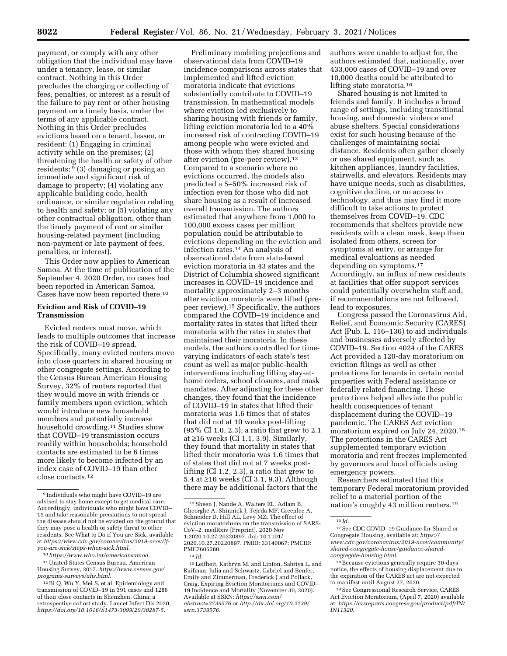payment, or comply with any other obligation that the individual may have under a tenancy, lease, or similar contract. Nothing in this Order precludes the charging or collecting of fees, penalties, or interest as a result of the failure to pay rent or other housing payment on a timely basis, under the terms of any applicable contract. Nothing in this Order precludes evictions based on a tenant, lessee, or resident: (1) Engaging in criminal activity while on the premises; (2) threatening the health or safety of other residents; 9 (3) damaging or posing an immediate and significant risk of damage to property; (4) violating any applicable building code, health ordinance, or similar regulation relating to health and safety; or (5) violating any other contractual obligation, other than the timely payment of rent or similar housing-related payment (including non-payment or late payment of fees, penalties, or interest).

This Order now applies to American Samoa. At the time of publication of the September 4, 2020 Order, no cases had been reported in American Samoa. Cases have now been reported there.10

## **Eviction and Risk of COVID–19 Transmission**

Evicted renters must move, which leads to multiple outcomes that increase the risk of COVID–19 spread. Specifically, many evicted renters move into close quarters in shared housing or other congregate settings. According to the Census Bureau American Housing Survey, 32% of renters reported that they would move in with friends or family members upon eviction, which would introduce new household members and potentially increase household crowding.11 Studies show that COVID–19 transmission occurs readily within households; household contacts are estimated to be 6 times more likely to become infected by an index case of COVID–19 than other close contacts.12

10*[https://www.who.int/americansamoa.](https://www.who.int/americansamoa)* 

11United States Census Bureau. American Housing Survey, 2017. *[https://www.census.gov/](https://www.census.gov/programs-surveys/ahs.html)  [programs-surveys/ahs.html.](https://www.census.gov/programs-surveys/ahs.html)* 

Preliminary modeling projections and observational data from COVID–19 incidence comparisons across states that implemented and lifted eviction moratoria indicate that evictions substantially contribute to COVID–19 transmission. In mathematical models where eviction led exclusively to sharing housing with friends or family, lifting eviction moratoria led to a 40% increased risk of contracting COVID–19 among people who were evicted and those with whom they shared housing after eviction (pre-peer review).13 Compared to a scenario where no evictions occurred, the models also predicted a 5–50% increased risk of infection even for those who did not share housing as a result of increased overall transmission. The authors estimated that anywhere from 1,000 to 100,000 excess cases per million population could be attributable to evictions depending on the eviction and infection rates.14 An analysis of observational data from state-based eviction moratoria in 43 states and the District of Columbia showed significant increases in COVID–19 incidence and mortality approximately 2–3 months after eviction moratoria were lifted (prepeer review).15 Specifically, the authors compared the COVID–19 incidence and mortality rates in states that lifted their moratoria with the rates in states that maintained their moratoria. In these models, the authors controlled for timevarying indicators of each state's test count as well as major public-health interventions including lifting stay-athome orders, school closures, and mask mandates. After adjusting for these other changes, they found that the incidence of COVID–19 in states that lifted their moratoria was 1.6 times that of states that did not at 10 weeks post-lifting (95% CI 1.0, 2.3), a ratio that grew to 2.1 at ≥16 weeks (CI 1.1, 3.9). Similarly, they found that mortality in states that lifted their moratoria was 1.6 times that of states that did not at 7 weeks postlifting (CI 1.2, 2.3), a ratio that grew to 5.4 at ≥16 weeks (CI 3.1, 9.3). Although there may be additional factors that the

15Leifheit, Kathryn M. and Linton, Sabriya L. and Raifman, Julia and Schwartz, Gabriel and Benfer, Emily and Zimmerman, Frederick J and Pollack, Craig, Expiring Eviction Moratoriums and COVID– 19 Incidence and Mortality (November 30, 2020). Available at SSRN: *[https://ssrn.com/](https://ssrn.com/abstract=3739576) [abstract=3739576](https://ssrn.com/abstract=3739576)* or *[http://dx.doi.org/10.2139/](http://dx.doi.org/10.2139/ssrn.3739576)  [ssrn.3739576.](http://dx.doi.org/10.2139/ssrn.3739576)* 

authors were unable to adjust for, the authors estimated that, nationally, over 433,000 cases of COVID–19 and over 10,000 deaths could be attributed to lifting state moratoria.16

Shared housing is not limited to friends and family. It includes a broad range of settings, including transitional housing, and domestic violence and abuse shelters. Special considerations exist for such housing because of the challenges of maintaining social distance. Residents often gather closely or use shared equipment, such as kitchen appliances, laundry facilities, stairwells, and elevators. Residents may have unique needs, such as disabilities, cognitive decline, or no access to technology, and thus may find it more difficult to take actions to protect themselves from COVID–19. CDC recommends that shelters provide new residents with a clean mask, keep them isolated from others, screen for symptoms at entry, or arrange for medical evaluations as needed depending on symptoms.17 Accordingly, an influx of new residents at facilities that offer support services could potentially overwhelm staff and, if recommendations are not followed, lead to exposures.

Congress passed the Coronavirus Aid, Relief, and Economic Security (CARES) Act (Pub. L. 116–136) to aid individuals and businesses adversely affected by COVID–19. Section 4024 of the CARES Act provided a 120-day moratorium on eviction filings as well as other protections for tenants in certain rental properties with Federal assistance or federally related financing. These protections helped alleviate the public health consequences of tenant displacement during the COVID–19 pandemic. The CARES Act eviction moratorium expired on July 24, 2020.18 The protections in the CARES Act supplemented temporary eviction moratoria and rent freezes implemented by governors and local officials using emergency powers.

Researchers estimated that this temporary Federal moratorium provided relief to a material portion of the nation's roughly 43 million renters.19

<sup>9</sup> Individuals who might have COVID–19 are advised to stay home except to get medical care. Accordingly, individuals who might have COVID– 19 and take reasonable precautions to not spread the disease should not be evicted on the ground that they may pose a health or safety threat to other residents. See What to Do if You are Sick, available at *[https://www.cdc.gov/coronavirus/2019-ncov/if](https://www.cdc.gov/coronavirus/2019-ncov/if-you-are-sick/steps-when-sick.html)[you-are-sick/steps-when-sick.html.](https://www.cdc.gov/coronavirus/2019-ncov/if-you-are-sick/steps-when-sick.html)* 

<sup>12</sup>Bi Q, Wu Y, Mei S, et al. Epidemiology and transmission of COVID–19 in 391 cases and 1286 of their close contacts in Shenzhen, China: a retrospective cohort study. Lancet Infect Dis 2020, *[https://doi.org/10.1016/S1473-3099\(20\)30287-5.](https://doi.org/10.1016/S1473-3099(20)30287-5)* 

<sup>13</sup>Sheen J, Nande A, Walters EL, Adlam B, Gheorghe A, Shinnick J, Tejeda MF, Greenlee A, Schneider D, Hill AL, Levy MZ. The effect of eviction moratoriums on the transmission of SARS-CoV–2. medRxiv [Preprint]. 2020 Nov 1:2020.10.27.20220897. doi: 10.1101/ 2020.10.27.20220897. PMID: 33140067; PMCID: PMC7605580.

<sup>14</sup> *Id.* 

<sup>16</sup> *Id.* 

<sup>17</sup>See CDC COVID–19 Guidance for Shared or Congregate Housing, available at: *[https://](https://www.cdc.gov/coronavirus/2019-ncov/community/shared-congregate-house/guidance-shared-congregate-housing.html) [www.cdc.gov/coronavirus/2019-ncov/community/](https://www.cdc.gov/coronavirus/2019-ncov/community/shared-congregate-house/guidance-shared-congregate-housing.html)  [shared-congregate-house/guidance-shared](https://www.cdc.gov/coronavirus/2019-ncov/community/shared-congregate-house/guidance-shared-congregate-housing.html)[congregate-housing.html.](https://www.cdc.gov/coronavirus/2019-ncov/community/shared-congregate-house/guidance-shared-congregate-housing.html)* 

<sup>18</sup>Because evictions generally require 30-days' notice, the effects of housing displacement due to the expiration of the CARES act are not expected to manifest until August 27, 2020.

<sup>19</sup>See Congressional Research Service, CARES Act Eviction Moratorium, (April 7, 2020) available at: *[https://crsreports.congress.gov/product/pdf/IN/](https://crsreports.congress.gov/product/pdf/IN/IN11320)  [IN11320.](https://crsreports.congress.gov/product/pdf/IN/IN11320)*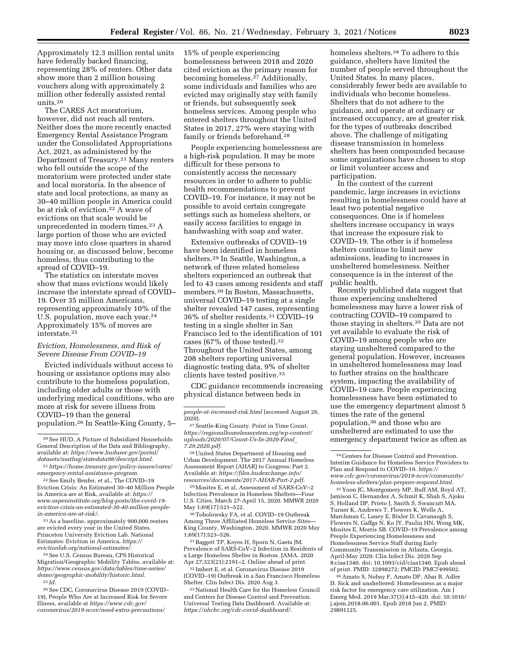Approximately 12.3 million rental units have federally backed financing, representing 28% of renters. Other data show more than 2 million housing vouchers along with approximately 2 million other federally assisted rental units.20

The CARES Act moratorium, however, did not reach all renters. Neither does the more recently enacted Emergency Rental Assistance Program under the Consolidated Appropriations Act, 2021, as administered by the Department of Treasury.21 Many renters who fell outside the scope of the moratorium were protected under state and local moratoria. In the absence of state and local protections, as many as 30–40 million people in America could be at risk of eviction.22 A wave of evictions on that scale would be unprecedented in modern times.23 A large portion of those who are evicted may move into close quarters in shared housing or, as discussed below, become homeless, thus contributing to the spread of COVID–19.

The statistics on interstate moves show that mass evictions would likely increase the interstate spread of COVID– 19. Over 35 million Americans, representing approximately 10% of the U.S. population, move each year.<sup>24</sup> Approximately 15% of moves are interstate.25

## *Eviction, Homelessness, and Risk of Severe Disease From COVID–19*

Evicted individuals without access to housing or assistance options may also contribute to the homeless population, including older adults or those with underlying medical conditions, who are more at risk for severe illness from COVID–19 than the general population.26 In Seattle-King County, 5–

20See HUD, A Picture of Subsidized Households General Description of the Data and Bibliography, available at: *[https://www.huduser.gov/portal/](https://www.huduser.gov/portal/datasets/assthsg/statedata98/descript.html) [datasets/assthsg/statedata98/descript.html.](https://www.huduser.gov/portal/datasets/assthsg/statedata98/descript.html)* 

21*[https://home.treasury.gov/policy-issues/cares/](https://home.treasury.gov/policy-issues/cares/emergency-rental-assistance-program) [emergency-rental-assistance-program.](https://home.treasury.gov/policy-issues/cares/emergency-rental-assistance-program)* 

22See Emily Benfer, et al., The COVID–19 Eviction Crisis: An Estimated 30–40 Million People in America are at Risk, available at: *[https://](https://www.aspeninstitute.org/blog-posts/the-covid-19-eviction-crisis-an-estimated-30-40-million-people-in-america-are-at-risk/) [www.aspeninstitute.org/blog-posts/the-covid-19](https://www.aspeninstitute.org/blog-posts/the-covid-19-eviction-crisis-an-estimated-30-40-million-people-in-america-are-at-risk/)  [eviction-crisis-an-estimated-30-40-million-people](https://www.aspeninstitute.org/blog-posts/the-covid-19-eviction-crisis-an-estimated-30-40-million-people-in-america-are-at-risk/)[in-america-are-at-risk/.](https://www.aspeninstitute.org/blog-posts/the-covid-19-eviction-crisis-an-estimated-30-40-million-people-in-america-are-at-risk/)* 

23As a baseline, approximately 900,000 renters are evicted every year in the United States. Princeton University Eviction Lab. National Estimates: Eviction in America. *[https://](https://evictionlab.org/national-estimates/) [evictionlab.org/national-estimates/.](https://evictionlab.org/national-estimates/)* 

24See U.S. Census Bureau, CPS Historical Migration/Geographic Mobility Tables, available at: *[https://www.census.gov/data/tables/time-series/](https://www.census.gov/data/tables/time-series/demo/geographic-mobility/historic.html) [demo/geographic-mobility/historic.html.](https://www.census.gov/data/tables/time-series/demo/geographic-mobility/historic.html)*  25 *Id.* 

26See CDC, Coronavirus Disease 2019 (COVID– 19), People Who Are at Increased Risk for Severe Illness, available at *[https://www.cdc.gov/](https://www.cdc.gov/coronavirus/2019-ncov/need-extra-precautions/people-at-increased-risk.html)  [coronavirus/2019-ncov/need-extra-precautions/](https://www.cdc.gov/coronavirus/2019-ncov/need-extra-precautions/people-at-increased-risk.html)* 

15% of people experiencing homelessness between 2018 and 2020 cited eviction as the primary reason for becoming homeless.27 Additionally, some individuals and families who are evicted may originally stay with family or friends, but subsequently seek homeless services. Among people who entered shelters throughout the United States in 2017, 27% were staying with family or friends beforehand.28

People experiencing homelessness are a high-risk population. It may be more difficult for these persons to consistently access the necessary resources in order to adhere to public health recommendations to prevent COVID–19. For instance, it may not be possible to avoid certain congregate settings such as homeless shelters, or easily access facilities to engage in handwashing with soap and water.

Extensive outbreaks of COVID–19 have been identified in homeless shelters.29 In Seattle, Washington, a network of three related homeless shelters experienced an outbreak that led to 43 cases among residents and staff members.30 In Boston, Massachusetts, universal COVID–19 testing at a single shelter revealed 147 cases, representing 36% of shelter residents.31 COVID–19 testing in a single shelter in San Francisco led to the identification of 101 cases (67% of those tested).32 Throughout the United States, among 208 shelters reporting universal diagnostic testing data, 9% of shelter clients have tested positive.33

CDC guidance recommends increasing physical distance between beds in

27Seattle-King County. Point in Time Count. *[https://regionalhomelesssystem.org/wp-content/](https://regionalhomelesssystem.org/wp-content/uploads/2020/07/Count-Us-In-2020-Final_7.29.2020.pdf) [uploads/2020/07/Count-Us-In-2020-Final](https://regionalhomelesssystem.org/wp-content/uploads/2020/07/Count-Us-In-2020-Final_7.29.2020.pdf)*\_ *[7.29.2020.pdf.](https://regionalhomelesssystem.org/wp-content/uploads/2020/07/Count-Us-In-2020-Final_7.29.2020.pdf)* 

28United States Department of Housing and Urban Development. The 2017 Annual Homeless Assessment Report (AHAR) to Congress: Part 2. Available at: *[https://files.hudexchange.info/](https://files.hudexchange.info/resources/documents/2017-AHAR-Part-2.pdf)  [resources/documents/2017-AHAR-Part-2.pdf.](https://files.hudexchange.info/resources/documents/2017-AHAR-Part-2.pdf)* 

29Mosites E, et al, Assessment of SARS-CoV–2 Infection Prevalence in Homeless Shelters—Four U.S. Cities, March 27-April 15, 2020. MMWR 2020 May 1;69(17):521–522.

30Tobolowsky FA, et al. COVID–19 Outbreak Among Three Affiliated Homeless Service Sites— King County, Washington, 2020. MMWR 2020 May 1;69(17):523–526.

31Baggett TP, Keyes H, Sporn N, Gaeta JM. Prevalence of SARS-CoV–2 Infection in Residents of a Large Homeless Shelter in Boston. JAMA. 2020 Apr 27;323(21):2191–2. Online ahead of print.

32 Imbert E, et al. Coronavirus Disease 2019 (COVID–19) Outbreak in a San Francisco Homeless Shelter. Clin Infect Dis. 2020 Aug 3.

33National Health Care for the Homeless Council and Centers for Disease Control and Prevention. Universal Testing Data Dashboard. Available at: *[https://nhchc.org/cdc-covid-dashboard/.](https://nhchc.org/cdc-covid-dashboard/)* 

homeless shelters.34 To adhere to this guidance, shelters have limited the number of people served throughout the United States. In many places, considerably fewer beds are available to individuals who become homeless. Shelters that do not adhere to the guidance, and operate at ordinary or increased occupancy, are at greater risk for the types of outbreaks described above. The challenge of mitigating disease transmission in homeless shelters has been compounded because some organizations have chosen to stop or limit volunteer access and participation.

In the context of the current pandemic, large increases in evictions resulting in homelessness could have at least two potential negative consequences. One is if homeless shelters increase occupancy in ways that increase the exposure risk to COVID–19. The other is if homeless shelters continue to limit new admissions, leading to increases in unsheltered homelessness. Neither consequence is in the interest of the public health.

Recently published data suggest that those experiencing unsheltered homelessness may have a lower risk of contracting COVID–19 compared to those staying in shelters.35 Data are not yet available to evaluate the risk of COVID–19 among people who are staying unsheltered compared to the general population. However, increases in unsheltered homelessness may lead to further strains on the healthcare system, impacting the availability of COVID–19 care. People experiencing homelessness have been estimated to use the emergency department almost 5 times the rate of the general population,36 and those who are unsheltered are estimated to use the emergency department twice as often as

35 Yoon JC, Montgomery MP, Buff AM, Boyd AT, Jamison C, Hernandez A, Schmit K, Shah S, Ajoku S, Holland DP, Prieto J, Smith S, Swancutt MA, Turner K, Andrews T, Flowers K, Wells A, Marchman C, Laney E, Bixler D, Cavanaugh S, Flowers N, Gaffga N, Ko JY, Paulin HN, Weng MK, Mosites E, Morris SB. COVID–19 Prevalence among People Experiencing Homelessness and Homelessness Service Staff during Early Community Transmission in Atlanta, Georgia, April-May 2020. Clin Infect Dis. 2020 Sep 8:ciaa1340. doi: 10.1093/cid/ciaa1340. Epub ahead of print. PMID: 32898272; PMCID: PMC7499502.

36Amato S, Nobay F, Amato DP, Abar B, Adler D. Sick and unsheltered: Homelessness as a major risk factor for emergency care utilization. Am J Emerg Med. 2019 Mar;37(3):415–420. doi: 10.1016/ j.ajem.2018.06.001. Epub 2018 Jun 2. PMID: 29891125.

*[people-at-increased-risk.html](https://www.cdc.gov/coronavirus/2019-ncov/need-extra-precautions/people-at-increased-risk.html)* (accessed August 26, 2020).

<sup>34</sup>Centers for Disease Control and Prevention. Interim Guidance for Homeless Service Providers to Plan and Respond to COVID–19. *[https://](https://www.cdc.gov/coronavirus/2019-ncov/community/homeless-shelters/plan-prepare-respond.html) [www.cdc.gov/coronavirus/2019-ncov/community/](https://www.cdc.gov/coronavirus/2019-ncov/community/homeless-shelters/plan-prepare-respond.html)  [homeless-shelters/plan-prepare-respond.html.](https://www.cdc.gov/coronavirus/2019-ncov/community/homeless-shelters/plan-prepare-respond.html)*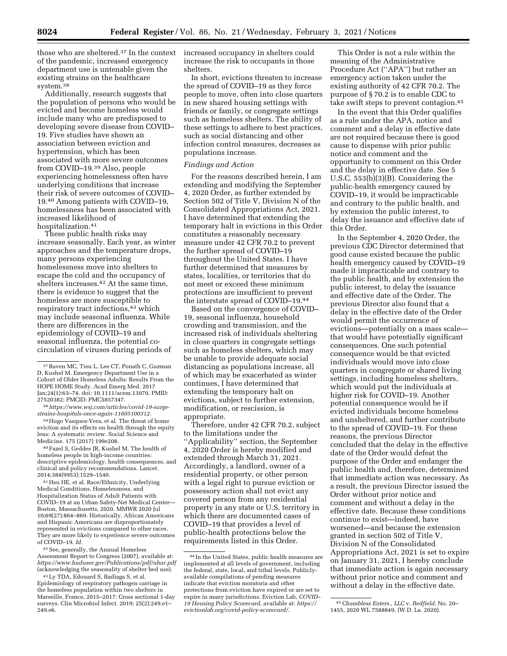those who are sheltered.37 In the context of the pandemic, increased emergency department use is untenable given the existing strains on the healthcare system.38

Additionally, research suggests that the population of persons who would be evicted and become homeless would include many who are predisposed to developing severe disease from COVID– 19. Five studies have shown an association between eviction and hypertension, which has been associated with more severe outcomes from COVID–19.39 Also, people experiencing homelessness often have underlying conditions that increase their risk of severe outcomes of COVID– 19.40 Among patients with COVID–19, homelessness has been associated with increased likelihood of hospitalization.41

These public health risks may increase seasonally. Each year, as winter approaches and the temperature drops, many persons experiencing homelessness move into shelters to escape the cold and the occupancy of shelters increases.<sup>42</sup> At the same time, there is evidence to suggest that the homeless are more susceptible to respiratory tract infections,<sup>43</sup> which may include seasonal influenza. While there are differences in the epidemiology of COVID–19 and seasonal influenza, the potential cocirculation of viruses during periods of

39Hugo Vasquez-Vera, et al. The threat of home eviction and its effects on health through the equity lens: A systematic review. Social Science and Medicine. 175 (2017) 199e208.

40Fazel S, Geddes JR, Kushel M. The health of homeless people in high-income countries: descriptive epidemiology, health consequences, and clinical and policy recommendations. Lancet. 2014;384(9953):1529–1540.

41Hsu HE, et al. Race/Ethnicity, Underlying Medical Conditions, Homelessness, and Hospitalization Status of Adult Patients with COVID–19 at an Urban Safety-Net Medical Center— Boston, Massachusetts, 2020. MMWR 2020 Jul 10;69(27):864–869. Historically, African Americans and Hispanic Americans are disproportionately represented in evictions compared to other races. They are more likely to experience severe outcomes of COVID–19. *Id.* 

42See, generally, the Annual Homeless Assessment Report to Congress (2007), available at: *<https://www.huduser.gov/Publications/pdf/ahar.pdf>* (acknowledging the seasonality of shelter bed use).

43Ly TDA, Edouard S, Badiaga S, et al. Epidemiology of respiratory pathogen carriage in the homeless population within two shelters in Marseille, France, 2015–2017: Cross sectional 1-day surveys. Clin Microbiol Infect. 2019; 25(2):249.e1– 249.e6.

increased occupancy in shelters could increase the risk to occupants in those shelters.

In short, evictions threaten to increase the spread of COVID–19 as they force people to move, often into close quarters in new shared housing settings with friends or family, or congregate settings such as homeless shelters. The ability of these settings to adhere to best practices, such as social distancing and other infection control measures, decreases as populations increase.

#### *Findings and Action*

For the reasons described herein, I am extending and modifying the September 4, 2020 Order, as further extended by Section 502 of Title V, Division N of the Consolidated Appropriations Act, 2021. I have determined that extending the temporary halt in evictions in this Order constitutes a reasonably necessary measure under 42 CFR 70.2 to prevent the further spread of COVID–19 throughout the United States. I have further determined that measures by states, localities, or territories that do not meet or exceed these minimum protections are insufficient to prevent the interstate spread of COVID–19.44

Based on the convergence of COVID– 19, seasonal influenza, household crowding and transmission, and the increased risk of individuals sheltering in close quarters in congregate settings such as homeless shelters, which may be unable to provide adequate social distancing as populations increase, all of which may be exacerbated as winter continues, I have determined that extending the temporary halt on evictions, subject to further extension, modification, or rescission, is appropriate.

Therefore, under 42 CFR 70.2, subject to the limitations under the ''Applicability'' section, the September 4, 2020 Order is hereby modified and extended through March 31, 2021. Accordingly, a landlord, owner of a residential property, or other person with a legal right to pursue eviction or possessory action shall not evict any covered person from any residential property in any state or U.S. territory in which there are documented cases of COVID–19 that provides a level of public-health protections below the requirements listed in this Order.

This Order is not a rule within the meaning of the Administrative Procedure Act (''APA'') but rather an emergency action taken under the existing authority of 42 CFR 70.2. The purpose of § 70.2 is to enable CDC to take swift steps to prevent contagion.45

In the event that this Order qualifies as a rule under the APA, notice and comment and a delay in effective date are not required because there is good cause to dispense with prior public notice and comment and the opportunity to comment on this Order and the delay in effective date. See 5 U.S.C. 553(b)(3)(B). Considering the public-health emergency caused by COVID–19, it would be impracticable and contrary to the public health, and by extension the public interest, to delay the issuance and effective date of this Order.

In the September 4, 2020 Order, the previous CDC Director determined that good cause existed because the public health emergency caused by COVID–19 made it impracticable and contrary to the public health, and by extension the public interest, to delay the issuance and effective date of the Order. The previous Director also found that a delay in the effective date of the Order would permit the occurrence of evictions—potentially on a mass scale that would have potentially significant consequences. One such potential consequence would be that evicted individuals would move into close quarters in congregate or shared living settings, including homeless shelters, which would put the individuals at higher risk for COVID–19. Another potential consequence would be if evicted individuals become homeless and unsheltered, and further contribute to the spread of COVID–19. For these reasons, the previous Director concluded that the delay in the effective date of the Order would defeat the purpose of the Order and endanger the public health and, therefore, determined that immediate action was necessary. As a result, the previous Director issued the Order without prior notice and comment and without a delay in the effective date. Because these conditions continue to exist—indeed, have worsened—and because the extension granted in section 502 of Title V, Division N of the Consolidated Appropriations Act, 2021 is set to expire on January 31, 2021, I hereby conclude that immediate action is again necessary without prior notice and comment and without a delay in the effective date.

<sup>37</sup>Raven MC, Tieu L, Lee CT, Ponath C, Guzman D, Kushel M. Emergency Department Use in a Cohort of Older Homeless Adults: Results From the HOPE HOME Study. Acad Emerg Med. 2017 Jan;24(1):63–74. doi: 10.1111/acem.13070. PMID: 27520382; PMCID: PMC5857347.

<sup>38</sup>*[https://www.wsj.com/articles/covid-19-surge](https://www.wsj.com/articles/covid-19-surge-strains-hospitals-once-again-11605100312)[strains-hospitals-once-again-11605100312.](https://www.wsj.com/articles/covid-19-surge-strains-hospitals-once-again-11605100312)* 

<sup>44</sup> In the United States, public health measures are implemented at all levels of government, including the federal, state, local, and tribal levels. Publiclyavailable compilations of pending measures indicate that eviction moratoria and other protections from eviction have expired or are set to expire in many jurisdictions. Eviction Lab, *COVID– 19 Housing Policy Scorecard,* available at: *[https://](https://evictionlab.org/covid-policy-scorecard/) [evictionlab.org/covid-policy-scorecard/.](https://evictionlab.org/covid-policy-scorecard/)* 

<sup>45</sup>*Chambless Enters., LLC* v. *Redfield,* No. 20– 1455, 2020 WL 7588849, (W.D. La. 2020).